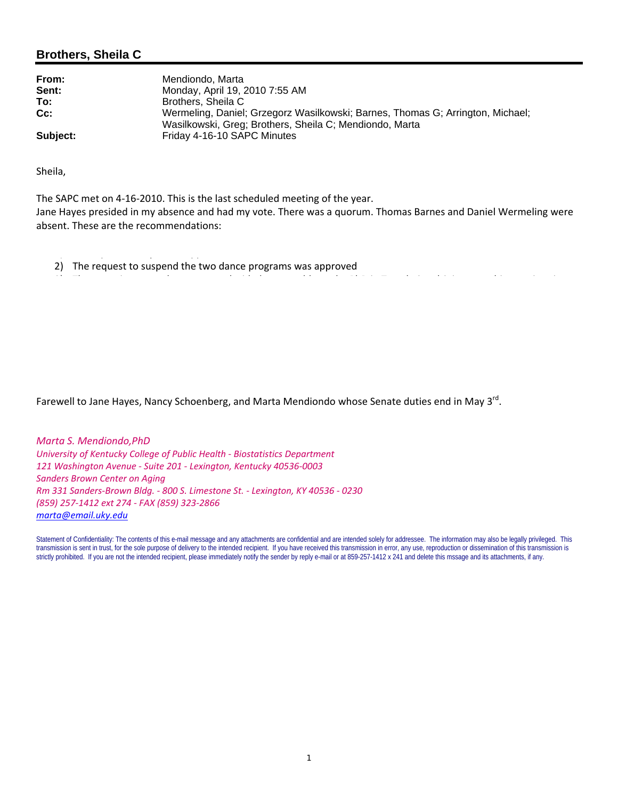## **Brothers, Sheila C**

| From:    | Mendiondo, Marta                                                                                                                          |
|----------|-------------------------------------------------------------------------------------------------------------------------------------------|
| Sent:    | Monday, April 19, 2010 7:55 AM                                                                                                            |
| To:      | Brothers, Sheila C                                                                                                                        |
| $Cc$ :   | Wermeling, Daniel; Grzegorz Wasilkowski; Barnes, Thomas G; Arrington, Michael;<br>Wasilkowski, Greg; Brothers, Sheila C; Mendiondo, Marta |
| Subject: | Friday 4-16-10 SAPC Minutes                                                                                                               |

Sheila,

The SAPC met on 4‐16‐2010. This is the last scheduled meeting of the year.

Jane Hayes presided in my absence and had my vote. There was a quorum. Thomas Barnes and Daniel Wermeling were absent. These are the recommendations:

2) The request to suspend the two dance programs was approved

1) The Japanese Major was approved

Farewell to Jane Hayes, Nancy Schoenberg, and Marta Mendiondo whose Senate duties end in May 3<sup>rd</sup>.

*Marta S. Mendiondo,PhD University of Kentucky College of Public Health ‐ Biostatistics Department 121 Washington Avenue ‐ Suite 201 ‐ Lexington, Kentucky 40536‐0003 Sanders Brown Center on Aging Rm 331 Sanders‐Brown Bldg. ‐ 800 S. Limestone St. ‐ Lexington, KY 40536 ‐ 0230 (859) 257‐1412 ext 274 ‐ FAX (859) 323‐2866 marta@email.uky.edu*

Statement of Confidentiality: The contents of this e-mail message and any attachments are confidential and are intended solely for addressee. The information may also be legally privileged. This transmission is sent in trust, for the sole purpose of delivery to the intended recipient. If you have received this transmission in error, any use, reproduction or dissemination of this transmission is strictly prohibited. If you are not the intended recipient, please immediately notify the sender by reply e-mail or at 859-257-1412 x 241 and delete this mssage and its attachments, if any.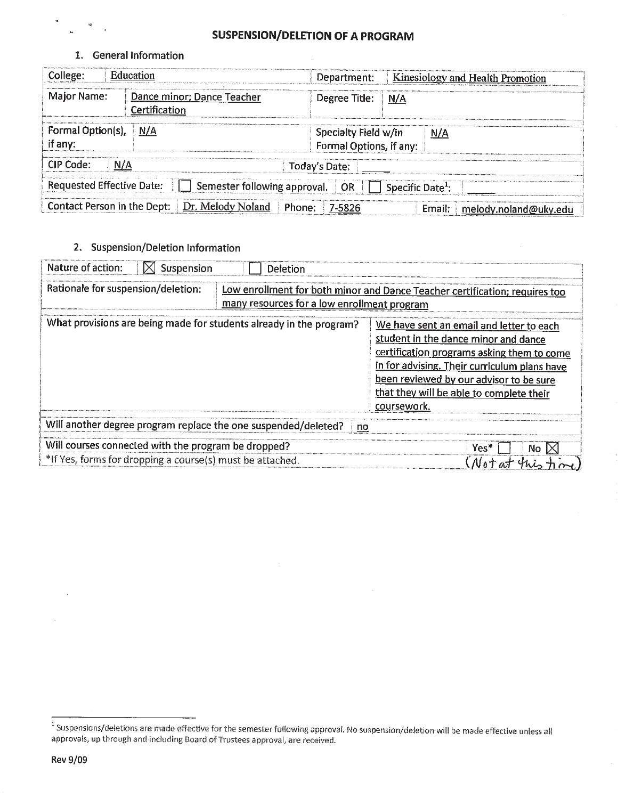# **SUSPENSION/DELETION OF A PROGRAM**

1. General Information

| College:                            | Education                                                                                                   | Department:                                     | <b>Kinesiology and Health Promotion</b> |
|-------------------------------------|-------------------------------------------------------------------------------------------------------------|-------------------------------------------------|-----------------------------------------|
| <b>Major Name:</b>                  | Dance minor; Dance Teacher<br>Certification                                                                 | Degree Title: N/A                               |                                         |
| <b>Formal Option(s),</b><br>if any: | ∥ N/A                                                                                                       | Specialty Field w/in<br>Formal Options, if any: | $\mid N/A$                              |
| CIP Code:                           | N/A                                                                                                         | Today's Date:                                   |                                         |
|                                     | Requested Effective Date: $\Box$ Semester following approval. $\Box$ OR $\Box$ Specific Date <sup>1</sup> : |                                                 |                                         |
| Contact Person in the Dept:         | Dr. Melody Noland                                                                                           | Phone:                                          | Email:<br>melody.noland@uky.edu         |

2. Suspension/Deletion Information

| Nature of action:<br>$\bowtie$ Suspension                                                                                                                        | Deletion |                                                                                                                                                                                                                                                                                      |  |  |  |  |
|------------------------------------------------------------------------------------------------------------------------------------------------------------------|----------|--------------------------------------------------------------------------------------------------------------------------------------------------------------------------------------------------------------------------------------------------------------------------------------|--|--|--|--|
| Rationale for suspension/deletion:<br>Low enrollment for both minor and Dance Teacher certification; requires too<br>many resources for a low enrollment program |          |                                                                                                                                                                                                                                                                                      |  |  |  |  |
| What provisions are being made for students already in the program?                                                                                              |          | We have sent an email and letter to each<br>student in the dance minor and dance<br>certification programs asking them to come<br>in for advising. Their curriculum plans have<br>been reviewed by our advisor to be sure<br>that they will be able to complete their<br>coursework. |  |  |  |  |
| Will another degree program replace the one suspended/deleted?<br>no                                                                                             |          |                                                                                                                                                                                                                                                                                      |  |  |  |  |
| Will courses connected with the program be dropped?<br>*If Yes, forms for dropping a course(s) must be attached.                                                 |          | Yes*<br>No.                                                                                                                                                                                                                                                                          |  |  |  |  |

<sup>&</sup>lt;sup>1</sup> Suspensions/deletions are made effective for the semester following approval. No suspension/deletion will be made effective unless all approvals, up through and including Board of Trustees approval, are received.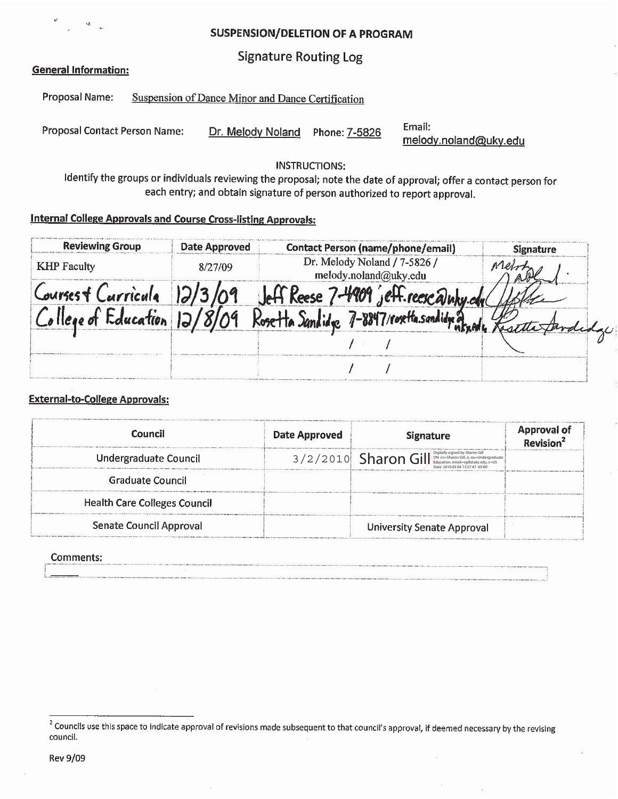**SUSPENSION/DELETION OF A PROGRAM** 

**Signature Routing Log** 

#### **General Information:**

Proposal Name: Suspension of Dance Minor and Dance Certification

**Proposal Contact Person Name:** Dr. Melody Noland Phone: 7-5826

Email: melody.noland@uky.edu

ò.

**INSTRUCTIONS:** 

Identify the groups or individuals reviewing the proposal; note the date of approval; offer a contact person for each entry; and obtain signature of person authorized to report approval.

# **Internal College Approvals and Course Cross-listing Approvals:**

| <b>Reviewing Group</b> | <b>Date Approved</b> | <b>Contact Person (name/phone/email)</b>              | <b>Signature</b> |
|------------------------|----------------------|-------------------------------------------------------|------------------|
| <b>KHP</b> Faculty     | 8/27/09              | Dr. Melody Noland / 7-5826 /<br>melody.noland@uky.edu |                  |
| ourses & Curricula     |                      | I ieH.reesealut                                       |                  |
| Education              |                      | roxita.sandidua                                       |                  |
|                        |                      |                                                       |                  |
|                        |                      |                                                       |                  |

### **External-to-College Approvals:**

| Council                             | <b>Date Approved</b> | <b>Signature</b>                                                                                                                   | <b>Approval of</b><br>Revision <sup>2</sup> |
|-------------------------------------|----------------------|------------------------------------------------------------------------------------------------------------------------------------|---------------------------------------------|
| Undergraduate Council               |                      | $3/2/2010$ Sharon Gill $\frac{\text{Optical}_\text{non-Sharob}(\text{a.g.})}{\text{Beta}(1)}$<br>Date: 2010.03.04.13:57:47 -05'00' |                                             |
| Graduate Council                    |                      |                                                                                                                                    |                                             |
| <b>Health Care Colleges Council</b> |                      |                                                                                                                                    |                                             |
| Senate Council Approval             |                      | <b>University Senate Approval</b>                                                                                                  |                                             |

#### Comments:

<sup>&</sup>lt;sup>2</sup> Councils use this space to indicate approval of revisions made subsequent to that council's approval, if deemed necessary by the revising council.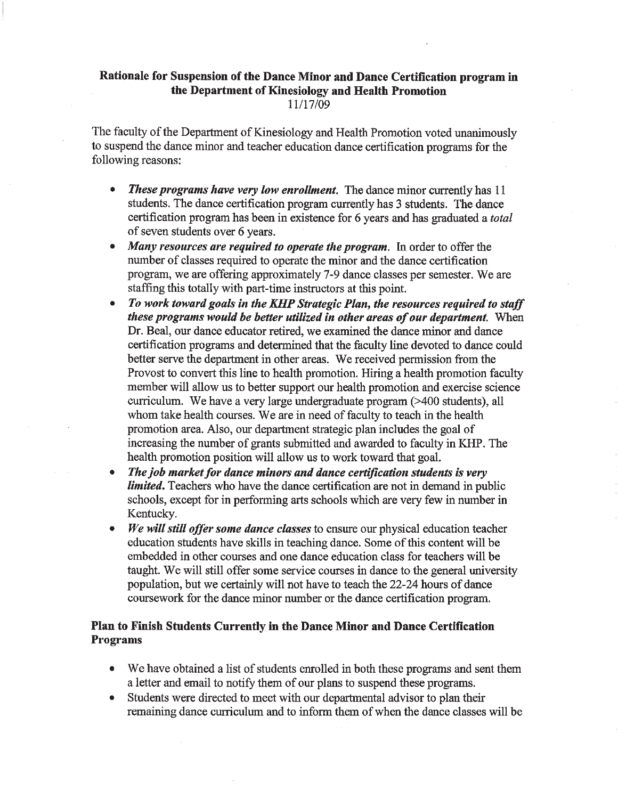## Rationale for Suspension of the Dance Minor and Dance Certification program in the Department of Kinesiology and Health Promotion 11/17/09

The faculty of the Department of Kinesiology and Health Promotion voted unanimously to suspend the dance minor and teacher education dance certification programs for the following reasons:

- $\bullet$ **These programs have very low enrollment.** The dance minor currently has 11 students. The dance certification program currently has 3 students. The dance certification program has been in existence for 6 years and has graduated a *total* of seven students over 6 years.
- Many resources are required to operate the program. In order to offer the  $\bullet$ number of classes required to operate the minor and the dance certification program, we are offering approximately 7-9 dance classes per semester. We are staffing this totally with part-time instructors at this point.
- $\bullet$ To work toward goals in the KHP Strategic Plan, the resources required to staff these programs would be better utilized in other areas of our department. When Dr. Beal, our dance educator retired, we examined the dance minor and dance certification programs and determined that the faculty line devoted to dance could better serve the department in other areas. We received permission from the Provost to convert this line to health promotion. Hiring a health promotion faculty member will allow us to better support our health promotion and exercise science curriculum. We have a very large undergraduate program (>400 students), all whom take health courses. We are in need of faculty to teach in the health promotion area. Also, our department strategic plan includes the goal of increasing the number of grants submitted and awarded to faculty in KHP. The health promotion position will allow us to work toward that goal.
- The job market for dance minors and dance certification students is very *limited*. Teachers who have the dance certification are not in demand in public schools, except for in performing arts schools which are very few in number in Kentucky.
- We will still offer some dance classes to ensure our physical education teacher  $\bullet$ education students have skills in teaching dance. Some of this content will be embedded in other courses and one dance education class for teachers will be taught. We will still offer some service courses in dance to the general university population, but we certainly will not have to teach the 22-24 hours of dance coursework for the dance minor number or the dance certification program.

## Plan to Finish Students Currently in the Dance Minor and Dance Certification **Programs**

- We have obtained a list of students enrolled in both these programs and sent them a letter and email to notify them of our plans to suspend these programs.
- Students were directed to meet with our departmental advisor to plan their remaining dance curriculum and to inform them of when the dance classes will be